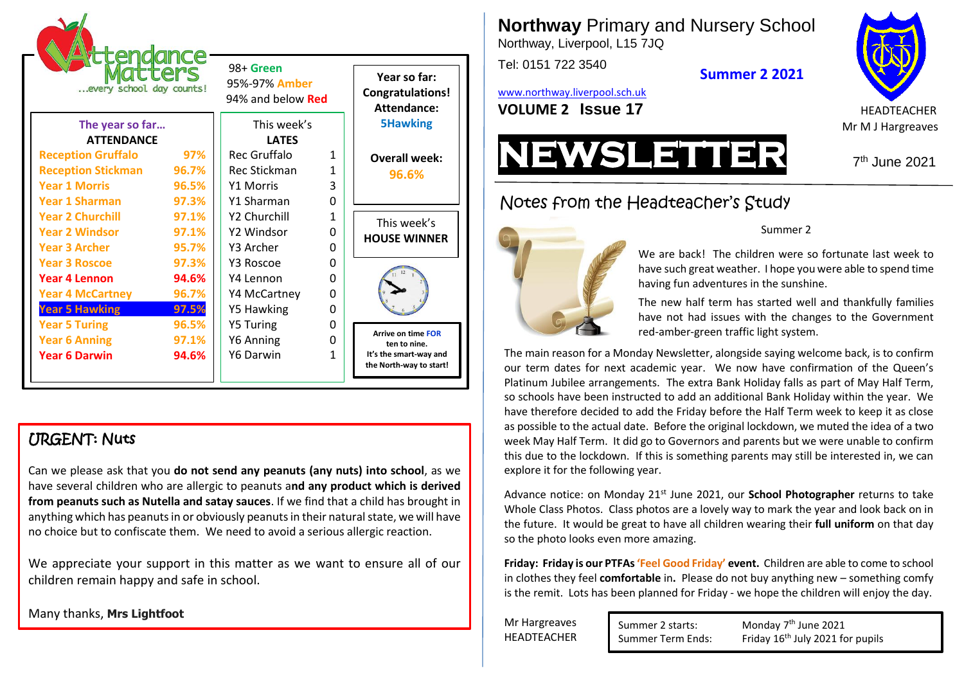| <b>rttendance</b><br>every school day counts! |       | 98+ Green<br>95%-97% Amber<br>94% and below <b>Red</b> |          | Year so far:<br><b>Congratulations!</b><br>Attendance: |
|-----------------------------------------------|-------|--------------------------------------------------------|----------|--------------------------------------------------------|
| The year so far                               |       | This week's                                            |          | <b>5Hawking</b>                                        |
| <b>ATTFNDANCF</b>                             |       | <b>LATFS</b>                                           |          |                                                        |
| <b>Reception Gruffalo</b>                     | 97%   | Rec Gruffalo                                           | 1        | <b>Overall week:</b>                                   |
| <b>Reception Stickman</b>                     | 96.7% | Rec Stickman                                           | 1        | 96.6%                                                  |
| <b>Year 1 Morris</b>                          | 96.5% | <b>Y1 Morris</b>                                       | 3        |                                                        |
| <b>Year 1 Sharman</b>                         | 97.3% | Y1 Sharman                                             | O        |                                                        |
| <b>Year 2 Churchill</b>                       | 97.1% | Y2 Churchill                                           | 1        | This week's                                            |
| <b>Year 2 Windsor</b>                         | 97.1% | Y2 Windsor                                             | $\Omega$ | <b>HOUSE WINNER</b>                                    |
| <b>Year 3 Archer</b>                          | 95.7% | Y3 Archer                                              | $\Omega$ |                                                        |
| <b>Year 3 Roscoe</b>                          | 97.3% | Y3 Roscoe                                              | $\Omega$ |                                                        |
| <b>Year 4 Lennon</b>                          | 94.6% | Y4 Lennon                                              | $\Omega$ |                                                        |
| <b>Year 4 McCartney</b>                       | 96.7% | Y4 McCartney                                           | $\Omega$ |                                                        |
| <b>Year 5 Hawking</b>                         | 97.5% | Y5 Hawking                                             | 0        |                                                        |
| <b>Year 5 Turing</b>                          | 96.5% | <b>Y5 Turing</b>                                       | 0        |                                                        |
| <b>Year 6 Anning</b>                          | 97.1% | Y6 Anning                                              | 0        | <b>Arrive on time FOR</b><br>ten to nine.              |
| <b>Year 6 Darwin</b>                          | 94.6% | Y6 Darwin                                              | 1        | It's the smart-way and<br>the North-way to start!      |

# URGENT: Nuts

Can we please ask that you **do not send any peanuts (any nuts) into school**, as we have several children who are allergic to peanuts a**nd any product which is derived from peanuts such as Nutella and satay sauces**. If we find that a child has brought in anything which has peanuts in or obviously peanuts in their natural state, we will have no choice but to confiscate them. We need to avoid a serious allergic reaction.

We appreciate your support in this matter as we want to ensure all of our children remain happy and safe in school.

Many thanks, **Mrs Lightfoot**

**Northway** Primary and Nursery School Northway, Liverpool, L15 7JQ

Tel: 0151 722 3540

[www.northway.liverpool.sch.uk](http://www.northway.liverpool.sch.uk/)





**Summer 2 2021**

7<sup>th</sup> June 2021

# Notes from the Headteacher's Study



#### Summer 2

We are back! The children were so fortunate last week to have such great weather. I hope you were able to spend time having fun adventures in the sunshine.

The new half term has started well and thankfully families have not had issues with the changes to the Government red-amber-green traffic light system.

The main reason for a Monday Newsletter, alongside saying welcome back, is to confirm our term dates for next academic year. We now have confirmation of the Queen's Platinum Jubilee arrangements. The extra Bank Holiday falls as part of May Half Term, so schools have been instructed to add an additional Bank Holiday within the year. We have therefore decided to add the Friday before the Half Term week to keep it as close as possible to the actual date. Before the original lockdown, we muted the idea of a two week May Half Term. It did go to Governors and parents but we were unable to confirm this due to the lockdown. If this is something parents may still be interested in, we can explore it for the following year.

Advance notice: on Monday 21st June 2021, our **School Photographer** returns to take Whole Class Photos. Class photos are a lovely way to mark the year and look back on in the future. It would be great to have all children wearing their **full uniform** on that day so the photo looks even more amazing.

**Friday: Friday is our PTFAs 'Feel Good Friday' event.** Children are able to come to school in clothes they feel **comfortable** in**.** Please do not buy anything new – something comfy is the remit. Lots has been planned for Friday - we hope the children will enjoy the day.

Mr Hargreaves **HEADTEACHER**  Summer 2 starts:

Monday 7<sup>th</sup> June 2021 Summer Term Ends: Friday 16<sup>th</sup> July 2021 for pupils